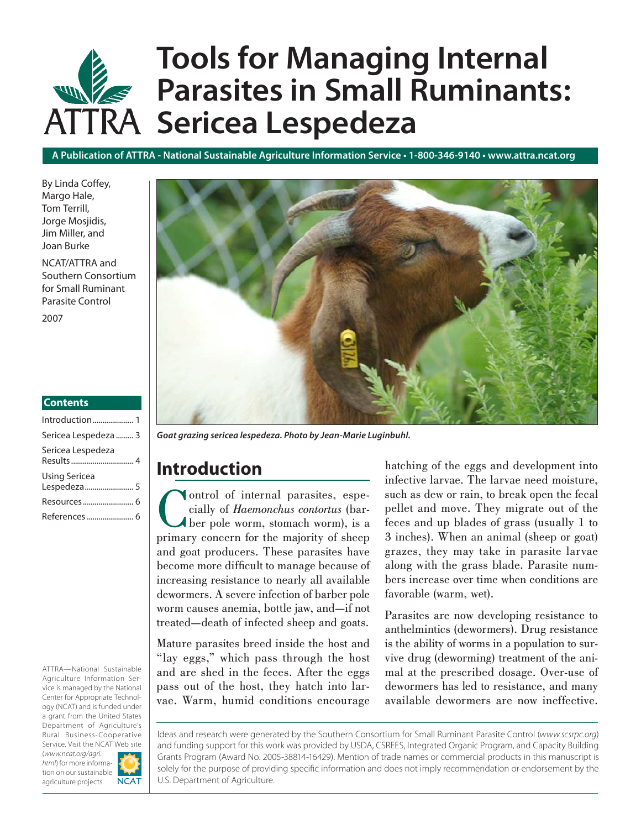# **Tools for Managing Internal Parasites in Small Ruminants: ATTRA Sericea Lespedeza**

**A Publication of ATTRA - National Sustainable Agriculture Information Service • 1-800-346-9140 • www.attra.ncat.org**

By Linda Coffey, Margo Hale, Tom Terrill, Jorge Mosjidis, Jim Miller, and Joan Burke

NCAT/ATTRA and Southern Consortium for Small Ruminant Parasite Control

2007

#### **Contents**

| Introduction 1                      |
|-------------------------------------|
| Sericea Lespedeza  3                |
| Sericea Lespedeza                   |
| <b>Using Sericea</b><br>Lespedeza 5 |
|                                     |
|                                     |

ATTRA—National Sustainable Agriculture Information Service is managed by the National Center for Appropriate Technology (NCAT) and is funded under a grant from the United States Department of Agriculture's Rural Business-Cooperative Service. Visit the NCAT Web site

(*www.ncat.org/agri. html*) for more information on our sustainable agriculture projects.





*Goat grazing sericea lespedeza. Photo by Jean-Marie Luginbuhl.*

# **Introduction**

Control of internal parasites, especially of *Haemonchus contortus* (bar-<br>ber pole worm, stomach worm), is a<br>primary concern for the majority of sheep cially of *Haemonchus contortus* (barber pole worm, stomach worm), is a primary concern for the majority of sheep and goat producers. These parasites have become more difficult to manage because of increasing resistance to nearly all available dewormers. A severe infection of barber pole worm causes anemia, bottle jaw, and—if not treated—death of infected sheep and goats.

Mature parasites breed inside the host and "lay eggs," which pass through the host and are shed in the feces. After the eggs pass out of the host, they hatch into larvae. Warm, humid conditions encourage hatching of the eggs and development into infective larvae. The larvae need moisture, such as dew or rain, to break open the fecal pellet and move. They migrate out of the feces and up blades of grass (usually 1 to 3 inches). When an animal (sheep or goat) grazes, they may take in parasite larvae along with the grass blade. Parasite numbers increase over time when conditions are favorable (warm, wet).

Parasites are now developing resistance to anthelmintics (dewormers). Drug resistance is the ability of worms in a population to survive drug (deworming) treatment of the animal at the prescribed dosage. Over-use of dewormers has led to resistance, and many available dewormers are now ineffective.

Ideas and research were generated by the Southern Consortium for Small Ruminant Parasite Control (*www.scsrpc.org*) and funding support for this work was provided by USDA, CSREES, Integrated Organic Program, and Capacity Building Grants Program (Award No. 2005-38814-16429). Mention of trade names or commercial products in this manuscript is solely for the purpose of providing specific information and does not imply recommendation or endorsement by the U.S. Department of Agriculture.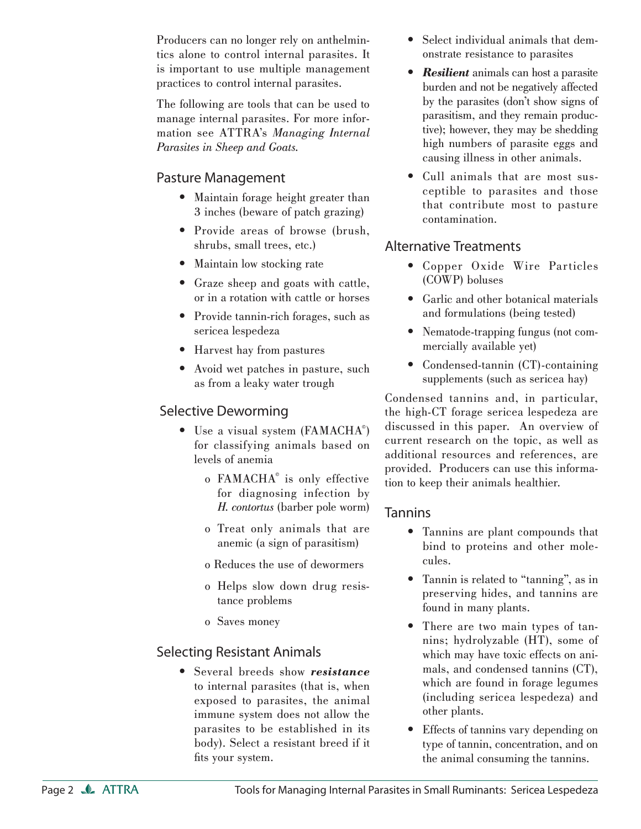Producers can no longer rely on anthelmintics alone to control internal parasites. It is important to use multiple management practices to control internal parasites.

The following are tools that can be used to manage internal parasites. For more information see ATTRA's *Managing Internal Parasites in Sheep and Goats.*

## Pasture Management

- Maintain forage height greater than 3 inches (beware of patch grazing)
- Provide areas of browse (brush, shrubs, small trees, etc.)
- Maintain low stocking rate
- Graze sheep and goats with cattle, or in a rotation with cattle or horses
- Provide tannin-rich forages, such as sericea lespedeza
- Harvest hay from pastures
- Avoid wet patches in pasture, such as from a leaky water trough

## Selective Deworming

- Use a visual system (FAMACHA<sup>®</sup>) for classifying animals based on levels of anemia
- o FAMACHA© is only effective for diagnosing infection by *H. contortus* (barber pole worm)
	- o Treat only animals that are anemic (a sign of parasitism)
	- o Reduces the use of dewormers
	- o Helps slow down drug resistance problems
	- o Saves money

# Selecting Resistant Animals

Several breeds show *resistance* • to internal parasites (that is, when exposed to parasites, the animal immune system does not allow the parasites to be established in its body). Select a resistant breed if it fits your system.

- Select individual animals that demonstrate resistance to parasites
- *Resilient* animals can host a parasite *•* burden and not be negatively affected by the parasites (don't show signs of parasitism, and they remain productive); however, they may be shedding high numbers of parasite eggs and causing illness in other animals.
- Cull animals that are most sus-• ceptible to parasites and those that contribute most to pasture contamination.

## Alternative Treatments

- Copper Oxide Wire Particles (COWP) boluses
- Garlic and other botanical materials and formulations (being tested)
- Nematode-trapping fungus (not commercially available yet)
- Condensed-tannin (CT)-containing supplements (such as sericea hay)

Condensed tannins and, in particular, the high-CT forage sericea lespedeza are discussed in this paper. An overview of current research on the topic, as well as additional resources and references, are provided. Producers can use this information to keep their animals healthier.

## Tannins

- Tannins are plant compounds that bind to proteins and other molecules.
- Tannin is related to "tanning", as in preserving hides, and tannins are found in many plants.
- There are two main types of tannins; hydrolyzable (HT), some of which may have toxic effects on animals, and condensed tannins (CT), which are found in forage legumes (including sericea lespedeza) and other plants.
- Effects of tannins vary depending on type of tannin, concentration, and on the animal consuming the tannins.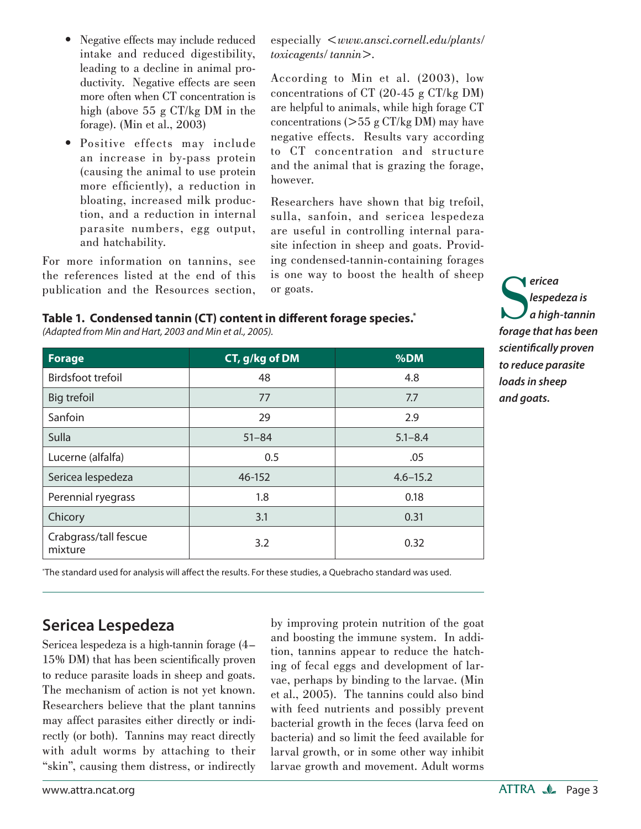- Negative effects may include reduced intake and reduced digestibility, leading to a decline in animal productivity. Negative effects are seen more often when CT concentration is high (above 55 g CT/kg DM in the forage). (Min et al., 2003) •
- Positive effects may include an increase in by-pass protein (causing the animal to use protein more efficiently), a reduction in bloating, increased milk production, and a reduction in internal parasite numbers, egg output, and hatchability.

For more information on tannins, see the references listed at the end of this publication and the Resources section, especially <*www.ansci.cornell.edu/plants/ toxicagents/ tannin*>.

According to Min et al. (2003), low concentrations of CT (20-45 g CT/kg DM) are helpful to animals, while high forage CT concentrations  $(> 55 \text{ g } CT/kg DM)$  may have negative effects. Results vary according to CT concentration and structure and the animal that is grazing the forage, however.

Researchers have shown that big trefoil, sulla, sanfoin, and sericea lespedeza are useful in controlling internal parasite infection in sheep and goats. Providing condensed-tannin-containing forages is one way to boost the health of sheep or goats.

## Table 1. Condensed tannin (CT) content in different forage species.<sup>\*</sup>

**Forage CT, g/kg of DM**  $\sim$  **800 %DM** Birdsfoot trefoil and the contract of the 48 and 48 and 48 and 48 and 48 and 48 and 48 and 4.8 and 4.8 and 4.8 and 4.8 and 4.8 and 4.8 and 4.8 and 4.8 and 4.8 and 4.8 and 4.8 and 4.8 and 4.8 and 4.8 and 4.8 and 4.8 and 4.8 Big trefoil  $\overline{77}$   $\overline{77}$   $\overline{77}$   $\overline{77}$   $\overline{77}$   $\overline{77}$   $\overline{77}$   $\overline{77}$   $\overline{77}$ 

Sanfoin 29 2.9 Sulla 51–84 5.1–8.4 Lucerne (alfalfa)  $\qquad \qquad$  0.5  $\qquad \qquad$  0.05 Sericea lespedeza 1982 - 152 16-152 16-152 16-152 Perennial ryegrass and the contract of the contract of the contract of the contract of the contract of the contract of the contract of the contract of the contract of the contract of the contract of the contract of the con

*(Adapted from Min and Hart, 2003 and Min et al., 2005).*

**S**<br>*forage that has been forage that has been ericea lespedeza is a high-tannin scientifi cally proven to reduce parasite loads in sheep and goats.*

\* The standard used for analysis will aff ect the results. For these studies, a Quebracho standard was used.

Chicory  $\begin{array}{|c|c|c|c|c|c|}\n\hline\n3.1 & 0.31\n\end{array}$ 

erabyrass/can rescue and 3.2 and 3.2 and 3.2 and 3.2 and 3.2 and 3.2 and 3.2 and 3.2 and 3.2 and 3.2 and 3.2 and 3.2 and 3.2 and 3.2 and 3.2 and 3.2 and 3.2 and 3.2 and 3.2 and 3.2 and 3.32 and 3.32 and 3.32 and 3.32 and 3

# **Sericea Lespedeza**

Crabgrass/tall fescue

Sericea lespedeza is a high-tannin forage (4– 15% DM) that has been scientifically proven to reduce parasite loads in sheep and goats. The mechanism of action is not yet known. Researchers believe that the plant tannins may affect parasites either directly or indirectly (or both). Tannins may react directly with adult worms by attaching to their "skin", causing them distress, or indirectly by improving protein nutrition of the goat and boosting the immune system. In addition, tannins appear to reduce the hatching of fecal eggs and development of larvae, perhaps by binding to the larvae. (Min et al., 2005). The tannins could also bind with feed nutrients and possibly prevent bacterial growth in the feces (larva feed on bacteria) and so limit the feed available for larval growth, or in some other way inhibit larvae growth and movement. Adult worms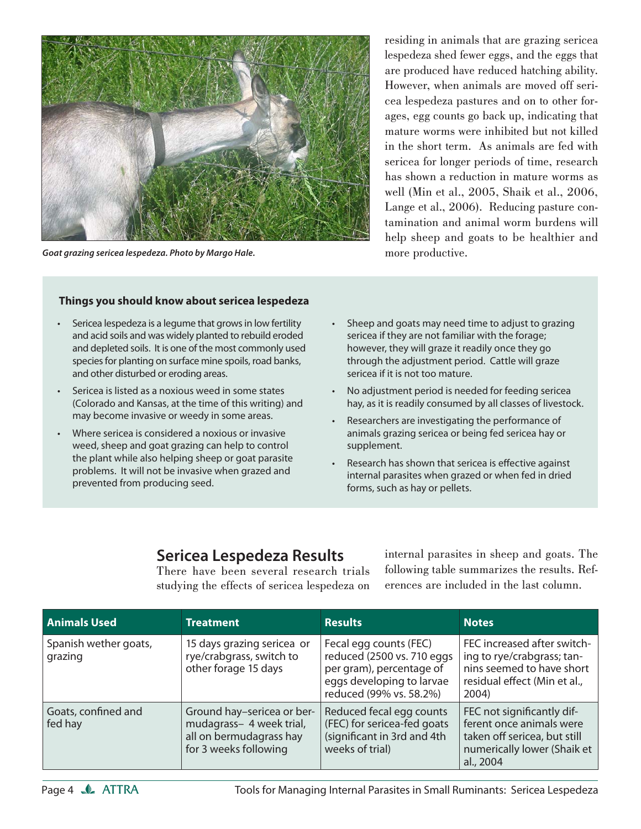

*Goat grazing sericea lespedeza. Photo by Margo Hale.*

residing in animals that are grazing sericea lespedeza shed fewer eggs, and the eggs that are produced have reduced hatching ability. However, when animals are moved off sericea lespedeza pastures and on to other forages, egg counts go back up, indicating that mature worms were inhibited but not killed in the short term. As animals are fed with sericea for longer periods of time, research has shown a reduction in mature worms as well (Min et al., 2005, Shaik et al., 2006, Lange et al., 2006). Reducing pasture contamination and animal worm burdens will help sheep and goats to be healthier and more productive.

#### **Things you should know about sericea lespedeza**

- Sericea lespedeza is a legume that grows in low fertility and acid soils and was widely planted to rebuild eroded and depleted soils. It is one of the most commonly used species for planting on surface mine spoils, road banks, and other disturbed or eroding areas. •
- Sericea is listed as a noxious weed in some states (Colorado and Kansas, at the time of this writing) and may become invasive or weedy in some areas. •
- Where sericea is considered a noxious or invasive weed, sheep and goat grazing can help to control the plant while also helping sheep or goat parasite problems. It will not be invasive when grazed and prevented from producing seed. •
- Sheep and goats may need time to adjust to grazing sericea if they are not familiar with the forage; however, they will graze it readily once they go through the adjustment period. Cattle will graze sericea if it is not too mature. •
- No adjustment period is needed for feeding sericea hay, as it is readily consumed by all classes of livestock. •
- Researchers are investigating the performance of animals grazing sericea or being fed sericea hay or supplement. •
- Research has shown that sericea is effective against internal parasites when grazed or when fed in dried forms, such as hay or pellets. •

# **Sericea Lespedeza Results**

There have been several research trials studying the effects of sericea lespedeza on internal parasites in sheep and goats. The following table summarizes the results. References are included in the last column.

| <b>Animals Used</b>              | <b>Treatment</b>                                                                                           | <b>Results</b>                                                                                                                           | <b>Notes</b>                                                                                                                       |
|----------------------------------|------------------------------------------------------------------------------------------------------------|------------------------------------------------------------------------------------------------------------------------------------------|------------------------------------------------------------------------------------------------------------------------------------|
| Spanish wether goats,<br>grazing | 15 days grazing sericea or<br>rye/crabgrass, switch to<br>other forage 15 days                             | Fecal egg counts (FEC)<br>reduced (2500 vs. 710 eggs<br>per gram), percentage of<br>eggs developing to larvae<br>reduced (99% vs. 58.2%) | FEC increased after switch-<br>ing to rye/crabgrass; tan-<br>nins seemed to have short<br>residual effect (Min et al.,<br>2004)    |
| Goats, confined and<br>fed hay   | Ground hay-sericea or ber-<br>mudagrass- 4 week trial,<br>all on bermudagrass hay<br>for 3 weeks following | Reduced fecal egg counts<br>(FEC) for sericea-fed goats<br>(significant in 3rd and 4th<br>weeks of trial)                                | FEC not significantly dif-<br>ferent once animals were<br>taken off sericea, but still<br>numerically lower (Shaik et<br>al., 2004 |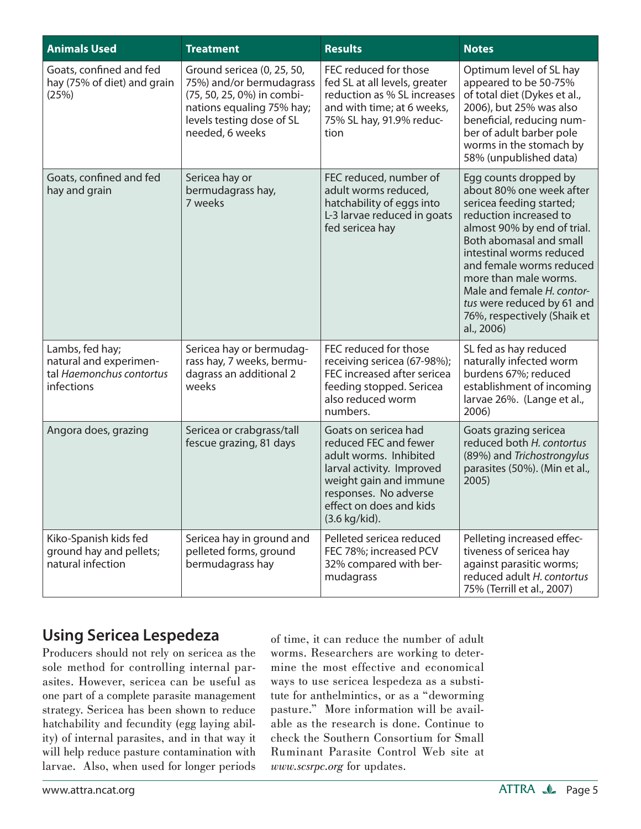| <b>Animals Used</b>                                                                 | <b>Treatment</b>                                                                                                                                                  | <b>Results</b>                                                                                                                                                                                                | <b>Notes</b>                                                                                                                                                                                                                                                                                                                                                |
|-------------------------------------------------------------------------------------|-------------------------------------------------------------------------------------------------------------------------------------------------------------------|---------------------------------------------------------------------------------------------------------------------------------------------------------------------------------------------------------------|-------------------------------------------------------------------------------------------------------------------------------------------------------------------------------------------------------------------------------------------------------------------------------------------------------------------------------------------------------------|
| Goats, confined and fed<br>hay (75% of diet) and grain<br>(25%)                     | Ground sericea (0, 25, 50,<br>75%) and/or bermudagrass<br>(75, 50, 25, 0%) in combi-<br>nations equaling 75% hay;<br>levels testing dose of SL<br>needed, 6 weeks | FEC reduced for those<br>fed SL at all levels, greater<br>reduction as % SL increases<br>and with time; at 6 weeks,<br>75% SL hay, 91.9% reduc-<br>tion                                                       | Optimum level of SL hay<br>appeared to be 50-75%<br>of total diet (Dykes et al.,<br>2006), but 25% was also<br>beneficial, reducing num-<br>ber of adult barber pole<br>worms in the stomach by<br>58% (unpublished data)                                                                                                                                   |
| Goats, confined and fed<br>hay and grain                                            | Sericea hay or<br>bermudagrass hay,<br>7 weeks                                                                                                                    | FEC reduced, number of<br>adult worms reduced,<br>hatchability of eggs into<br>L-3 larvae reduced in goats<br>fed sericea hay                                                                                 | Egg counts dropped by<br>about 80% one week after<br>sericea feeding started;<br>reduction increased to<br>almost 90% by end of trial.<br>Both abomasal and small<br>intestinal worms reduced<br>and female worms reduced<br>more than male worms.<br>Male and female H. contor-<br>tus were reduced by 61 and<br>76%, respectively (Shaik et<br>al., 2006) |
| Lambs, fed hay;<br>natural and experimen-<br>tal Haemonchus contortus<br>infections | Sericea hay or bermudag-<br>rass hay, 7 weeks, bermu-<br>dagrass an additional 2<br>weeks                                                                         | FEC reduced for those<br>receiving sericea (67-98%);<br>FEC increased after sericea<br>feeding stopped. Sericea<br>also reduced worm<br>numbers.                                                              | SL fed as hay reduced<br>naturally infected worm<br>burdens 67%; reduced<br>establishment of incoming<br>larvae 26%. (Lange et al.,<br>2006)                                                                                                                                                                                                                |
| Angora does, grazing                                                                | Sericea or crabgrass/tall<br>fescue grazing, 81 days                                                                                                              | Goats on sericea had<br>reduced FEC and fewer<br>adult worms. Inhibited<br>larval activity. Improved<br>weight gain and immune<br>responses. No adverse<br>effect on does and kids<br>$(3.6 \text{ kg/kid}).$ | Goats grazing sericea<br>reduced both H. contortus<br>(89%) and Trichostrongylus<br>parasites (50%). (Min et al.,<br>2005)                                                                                                                                                                                                                                  |
| Kiko-Spanish kids fed<br>ground hay and pellets;<br>natural infection               | Sericea hay in ground and<br>pelleted forms, ground<br>bermudagrass hay                                                                                           | Pelleted sericea reduced<br>FEC 78%; increased PCV<br>32% compared with ber-<br>mudagrass                                                                                                                     | Pelleting increased effec-<br>tiveness of sericea hay<br>against parasitic worms;<br>reduced adult H. contortus<br>75% (Terrill et al., 2007)                                                                                                                                                                                                               |

# **Using Sericea Lespedeza**

Producers should not rely on sericea as the sole method for controlling internal parasites. However, sericea can be useful as one part of a complete parasite management strategy. Sericea has been shown to reduce hatchability and fecundity (egg laying ability) of internal parasites, and in that way it will help reduce pasture contamination with larvae. Also, when used for longer periods of time, it can reduce the number of adult worms. Researchers are working to determine the most effective and economical ways to use sericea lespedeza as a substitute for anthelmintics, or as a "deworming pasture." More information will be available as the research is done. Continue to check the Southern Consortium for Small Ruminant Parasite Control Web site at *www.scsrpc.org* for updates.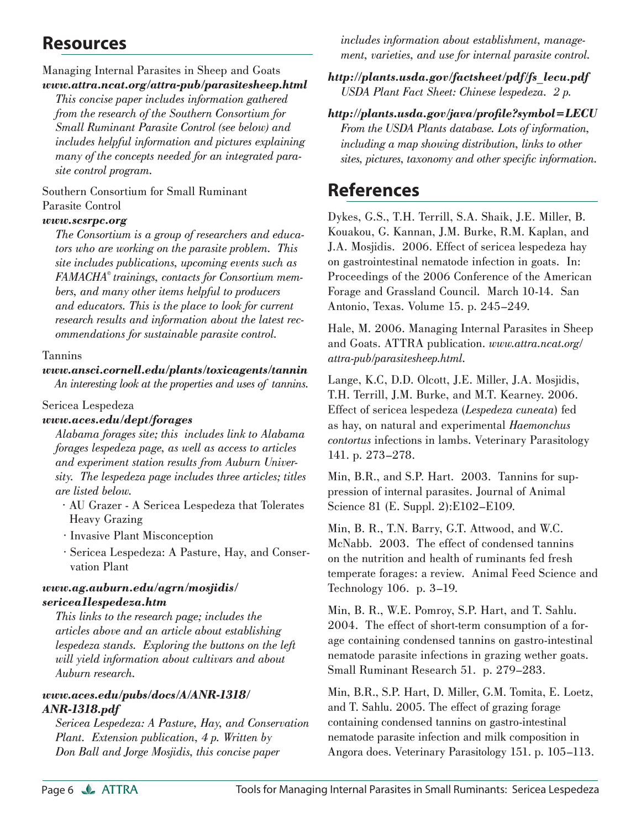# **Resources**

#### Managing Internal Parasites in Sheep and Goats *www.attra.ncat.org/attra-pub/parasitesheep.html*

 *This concise paper includes information gathered from the research of the Southern Consortium for Small Ruminant Parasite Control (see below) and includes helpful information and pictures explaining many of the concepts needed for an integrated parasite control program.*

Southern Consortium for Small Ruminant Parasite Control

#### *www.scsrpc.org*

 *The Consortium is a group of researchers and educators who are working on the parasite problem. This site includes publications, upcoming events such as FAMACHA© trainings, contacts for Consortium members, and many other items helpful to producers and educators. This is the place to look for current research results and information about the latest recommendations for sustainable parasite control.*

#### Tannins

## *www.ansci.cornell.edu/plants/toxicagents/tannin*

 *An interesting look at the properties and uses of tannins.* 

#### Sericea Lespedeza

#### *www.aces.edu/dept/forages*

 *Alabama forages site; this includes link to Alabama forages lespedeza page, as well as access to articles and experiment station results from Auburn University. The lespedeza page includes three articles; titles are listed below.*

- · AU Grazer A Sericea Lespedeza that Tolerates Heavy Grazing
- · Invasive Plant Misconception
- · Sericea Lespedeza: A Pasture, Hay, and Conservation Plant

#### *www.ag.auburn.edu/agrn/mosjidis/ sericea1lespedeza.htm*

 *This links to the research page; includes the articles above and an article about establishing lespedeza stands. Exploring the buttons on the left will yield information about cultivars and about Auburn research.*

#### *www.aces.edu/pubs/docs/A/ANR-1318/ ANR-1318.pdf*

 *Sericea Lespedeza: A Pasture, Hay, and Conservation Plant. Extension publication, 4 p. Written by Don Ball and Jorge Mosjidis, this concise paper* 

*includes information about establishment, management, varieties, and use for internal parasite control.*

*http://plants.usda.gov/factsheet/pdf/fs\_lecu.pdf USDA Plant Fact Sheet: Chinese lespedeza. 2 p.* 

*http://plants.usda.gov/java/profi le?symbol=LECU From the USDA Plants database. Lots of information, including a map showing distribution, links to other*  sites, pictures, taxonomy and other specific information.

# **References**

Dykes, G.S., T.H. Terrill, S.A. Shaik, J.E. Miller, B. Kouakou, G. Kannan, J.M. Burke, R.M. Kaplan, and J.A. Mosjidis. 2006. Effect of sericea lespedeza hay on gastrointestinal nematode infection in goats. In: Proceedings of the 2006 Conference of the American Forage and Grassland Council. March 10-14. San Antonio, Texas. Volume 15. p. 245–249.

Hale, M. 2006. Managing Internal Parasites in Sheep and Goats. ATTRA publication. *www.attra.ncat.org/ attra-pub/parasitesheep.html.*

Lange, K.C, D.D. Olcott, J.E. Miller, J.A. Mosjidis, T.H. Terrill, J.M. Burke, and M.T. Kearney. 2006. Effect of sericea lespedeza (*Lespedeza cuneata*) fed as hay, on natural and experimental *Haemonchus contortus* infections in lambs. Veterinary Parasitology 141. p. 273–278.

Min, B.R., and S.P. Hart. 2003. Tannins for suppression of internal parasites. Journal of Animal Science 81 (E. Suppl. 2):E102–E109.

Min, B. R., T.N. Barry, G.T. Attwood, and W.C. McNabb. 2003. The effect of condensed tannins on the nutrition and health of ruminants fed fresh temperate forages: a review. Animal Feed Science and Technology 106. p. 3–19.

Min, B. R., W.E. Pomroy, S.P. Hart, and T. Sahlu. 2004. The effect of short-term consumption of a forage containing condensed tannins on gastro-intestinal nematode parasite infections in grazing wether goats. Small Ruminant Research 51. p. 279–283.

Min, B.R., S.P. Hart, D. Miller, G.M. Tomita, E. Loetz, and T. Sahlu. 2005. The effect of grazing forage containing condensed tannins on gastro-intestinal nematode parasite infection and milk composition in Angora does. Veterinary Parasitology 151. p. 105–113.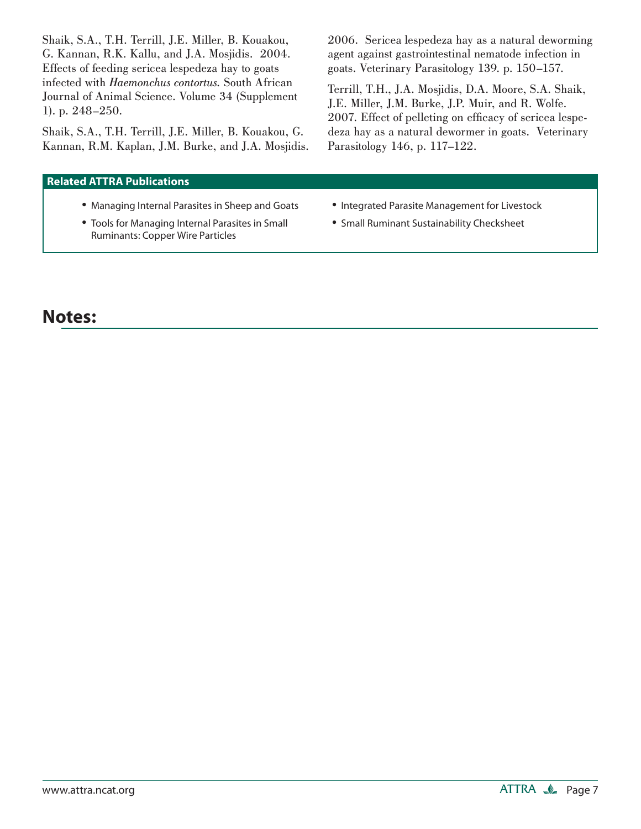Shaik, S.A., T.H. Terrill, J.E. Miller, B. Kouakou, G. Kannan, R.K. Kallu, and J.A. Mosjidis. 2004. Effects of feeding sericea lespedeza hay to goats infected with *Haemonchus contortus.* South African Journal of Animal Science. Volume 34 (Supplement 1). p. 248–250.

Shaik, S.A., T.H. Terrill, J.E. Miller, B. Kouakou, G. Kannan, R.M. Kaplan, J.M. Burke, and J.A. Mosjidis.

#### **Related ATTRA Publications**

- Managing Internal Parasites in Sheep and Goats
- Tools for Managing Internal Parasites in Small Ruminants: Copper Wire Particles

2006. Sericea lespedeza hay as a natural deworming agent against gastrointestinal nematode infection in goats. Veterinary Parasitology 139. p. 150–157.

Terrill, T.H., J.A. Mosjidis, D.A. Moore, S.A. Shaik, J.E. Miller, J.M. Burke, J.P. Muir, and R. Wolfe. 2007. Effect of pelleting on efficacy of sericea lespedeza hay as a natural dewormer in goats. Veterinary Parasitology 146, p. 117–122.

- Integrated Parasite Management for Livestock
- Small Ruminant Sustainability Checksheet

# **Notes:**